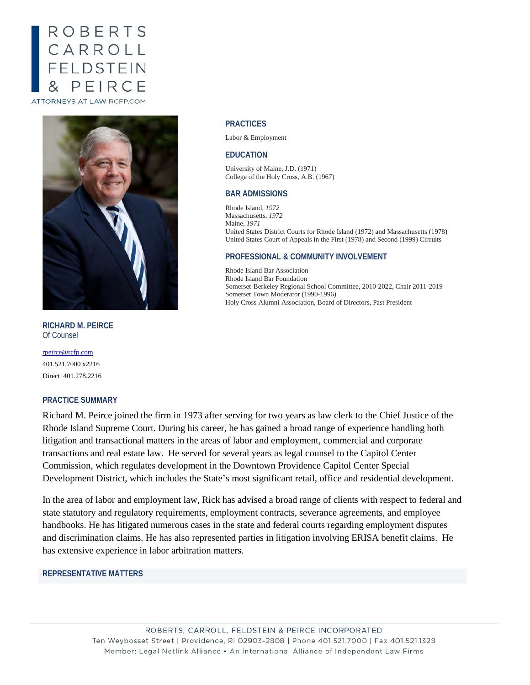# ROBERTS CARROLL<br>FELDSTEIN PEIRC ATTORNEYS AT LAW RCFP.COM



**RICHARD M. PEIRCE** Of Counsel

[rpeirce@rcfp.com](mailto:jmusgrave@rcfp.com) 401.521.7000 x2216 Direct 401.278.2216

# **PRACTICE SUMMARY**

# Richard M. Peirce joined the firm in 1973 after serving for two years as law clerk to the Chief Justice of the Rhode Island Supreme Court. During his career, he has gained a broad range of experience handling both litigation and transactional matters in the areas of labor and employment, commercial and corporate transactions and real estate law. He served for several years as legal counsel to the Capitol Center Commission, which regulates development in the Downtown Providence Capitol Center Special Development District, which includes the State's most significant retail, office and residential development.

In the area of labor and employment law, Rick has advised a broad range of clients with respect to federal and state statutory and regulatory requirements, employment contracts, severance agreements, and employee handbooks. He has litigated numerous cases in the state and federal courts regarding employment disputes and discrimination claims. He has also represented parties in litigation involving ERISA benefit claims. He has extensive experience in labor arbitration matters.

# **REPRESENTATIVE MATTERS**

#### **PRACTICES**

Labor & Employment

#### **EDUCATION**

University of Maine, J.D. (1971) College of the Holy Cross, A.B. (1967)

#### **BAR ADMISSIONS**

Rhode Island, *1972* Massachusetts, *1972* Maine, *1971* United States District Courts for Rhode Island (1972) and Massachusetts (1978) United States Court of Appeals in the First (1978) and Second (1999) Circuits

### **PROFESSIONAL & COMMUNITY INVOLVEMENT**

Rhode Island Bar Association Rhode Island Bar Foundation Somerset-Berkeley Regional School Committee, 2010-2022, Chair 2011-2019 Somerset Town Moderator (1990-1996) Holy Cross Alumni Association, Board of Directors, Past President